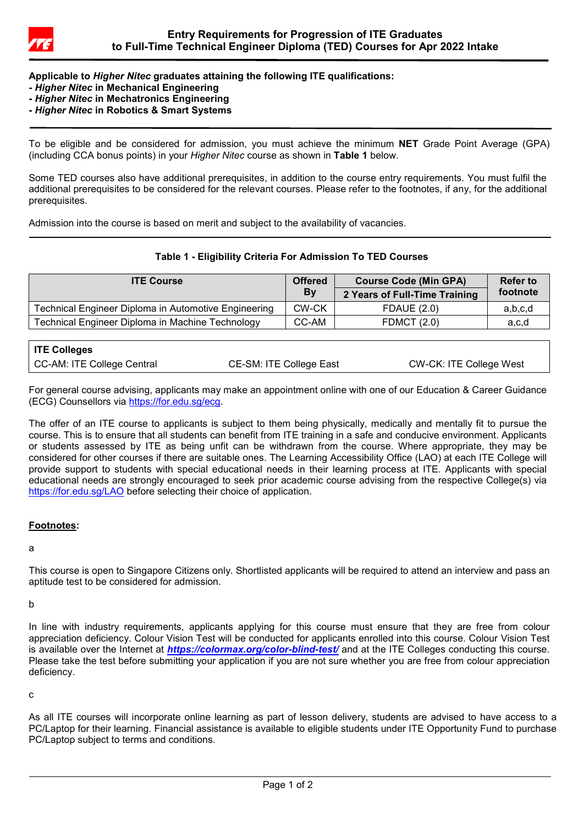

**Applicable to** *Higher Nitec* **graduates attaining the following ITE qualifications:**

- **-** *Higher Nitec* **in Mechanical Engineering**
- **-** *Higher Nitec* **in Mechatronics Engineering**
- **-** *Higher Nitec* **in Robotics & Smart Systems**

To be eligible and be considered for admission, you must achieve the minimum **NET** Grade Point Average (GPA) (including CCA bonus points) in your *Higher Nitec* course as shown in **Table 1** below.

Some TED courses also have additional prerequisites, in addition to the course entry requirements. You must fulfil the additional prerequisites to be considered for the relevant courses. Please refer to the footnotes, if any, for the additional prerequisites.

Admission into the course is based on merit and subject to the availability of vacancies.

## **Table 1 - Eligibility Criteria For Admission To TED Courses**

| <b>ITE Course</b>                                    | <b>Offered</b><br>By | <b>Course Code (Min GPA)</b><br>2 Years of Full-Time Training | <b>Refer to</b><br>footnote |
|------------------------------------------------------|----------------------|---------------------------------------------------------------|-----------------------------|
| Technical Engineer Diploma in Automotive Engineering | CW-CK                | <b>FDAUE (2.0)</b>                                            | a,b,c,d                     |
| Technical Engineer Diploma in Machine Technology     | CC-AM                | <b>FDMCT</b> (2.0)                                            | a,c,d                       |

| <b>ITE Colleges</b>        |                         |                         |
|----------------------------|-------------------------|-------------------------|
| CC-AM: ITE College Central | CE-SM: ITE College East | CW-CK: ITE College West |

For general course advising, applicants may make an appointment online with one of our Education & Career Guidance (ECG) Counsellors via [https://for.edu.sg/ecg.](https://for.edu.sg/ecg)

The offer of an ITE course to applicants is subject to them being physically, medically and mentally fit to pursue the course. This is to ensure that all students can benefit from ITE training in a safe and conducive environment. Applicants or students assessed by ITE as being unfit can be withdrawn from the course. Where appropriate, they may be considered for other courses if there are suitable ones. The Learning Accessibility Office (LAO) at each ITE College will provide support to students with special educational needs in their learning process at ITE. Applicants with special educational needs are strongly encouraged to seek prior academic course advising from the respective College(s) via <https://for.edu.sg/LAO> before selecting their choice of application.

## **Footnotes:**

#### a

This course is open to Singapore Citizens only. Shortlisted applicants will be required to attend an interview and pass an aptitude test to be considered for admission.

b

In line with industry requirements, applicants applying for this course must ensure that they are free from colour appreciation deficiency. Colour Vision Test will be conducted for applicants enrolled into this course. Colour Vision Test is available over the Internet at *<https://colormax.org/color-blind-test/>* and at the ITE Colleges conducting this course. Please take the test before submitting your application if you are not sure whether you are free from colour appreciation deficiency.

c

As all ITE courses will incorporate online learning as part of lesson delivery, students are advised to have access to a PC/Laptop for their learning. Financial assistance is available to eligible students under ITE Opportunity Fund to purchase PC/Laptop subject to terms and conditions.